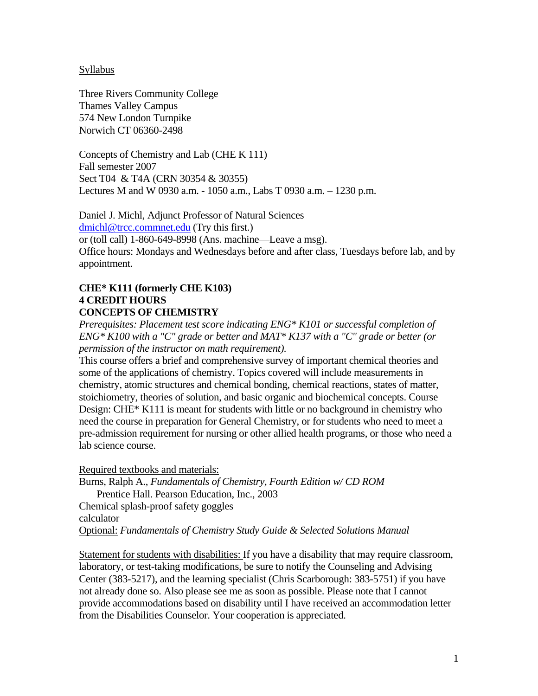### Syllabus

Three Rivers Community College Thames Valley Campus 574 New London Turnpike Norwich CT 06360-2498

Concepts of Chemistry and Lab (CHE K 111) Fall semester 2007 Sect T04 & T4A (CRN 30354 & 30355) Lectures M and W 0930 a.m. - 1050 a.m., Labs T 0930 a.m. – 1230 p.m.

Daniel J. Michl, Adjunct Professor of Natural Sciences [dmichl@trcc.commnet.edu](mailto:dmichl@trcc.commnet.edu) (Try this first.) or (toll call) 1-860-649-8998 (Ans. machine—Leave a msg). Office hours: Mondays and Wednesdays before and after class, Tuesdays before lab, and by appointment.

### **CHE\* K111 (formerly CHE K103) 4 CREDIT HOURS CONCEPTS OF CHEMISTRY**

*Prerequisites: Placement test score indicating ENG\* K101 or successful completion of ENG\* K100 with a "C" grade or better and MAT\* K137 with a "C" grade or better (or permission of the instructor on math requirement).*

This course offers a brief and comprehensive survey of important chemical theories and some of the applications of chemistry. Topics covered will include measurements in chemistry, atomic structures and chemical bonding, chemical reactions, states of matter, stoichiometry, theories of solution, and basic organic and biochemical concepts. Course Design: CHE\* K111 is meant for students with little or no background in chemistry who need the course in preparation for General Chemistry, or for students who need to meet a pre-admission requirement for nursing or other allied health programs, or those who need a lab science course.

Required textbooks and materials:

Burns, Ralph A., *Fundamentals of Chemistry, Fourth Edition w/ CD ROM* Prentice Hall. Pearson Education, Inc., 2003

Chemical splash-proof safety goggles calculator

Optional: *Fundamentals of Chemistry Study Guide & Selected Solutions Manual*

Statement for students with disabilities: If you have a disability that may require classroom, laboratory, or test-taking modifications, be sure to notify the Counseling and Advising Center (383-5217), and the learning specialist (Chris Scarborough: 383-5751) if you have not already done so. Also please see me as soon as possible. Please note that I cannot provide accommodations based on disability until I have received an accommodation letter from the Disabilities Counselor. Your cooperation is appreciated.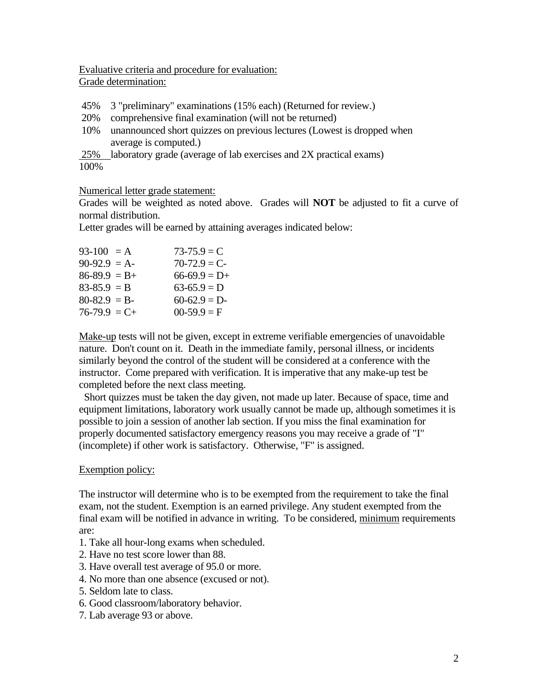Evaluative criteria and procedure for evaluation: Grade determination:

- 45% 3 "preliminary" examinations (15% each) (Returned for review.)
- 20% comprehensive final examination (will not be returned)
- 10% unannounced short quizzes on previous lectures (Lowest is dropped when average is computed.)

25% laboratory grade (average of lab exercises and 2X practical exams) 100%

Numerical letter grade statement:

Grades will be weighted as noted above. Grades will **NOT** be adjusted to fit a curve of normal distribution.

Letter grades will be earned by attaining averages indicated below:

| $93-100 = A$      | $73 - 75.9 = C$ |
|-------------------|-----------------|
| $90-92.9 = A$     | $70-72.9 = C$   |
| $86 - 89.9 = B +$ | $66-69.9 = D+$  |
| $83 - 85.9 = B$   | $63-65.9 = D$   |
| $80-82.9 = B$     | $60-62.9 = D$   |
| $76-79.9 = C+$    | $00-59.9 = F$   |
|                   |                 |

Make-up tests will not be given, except in extreme verifiable emergencies of unavoidable nature. Don't count on it. Death in the immediate family, personal illness, or incidents similarly beyond the control of the student will be considered at a conference with the instructor. Come prepared with verification. It is imperative that any make-up test be completed before the next class meeting.

 Short quizzes must be taken the day given, not made up later. Because of space, time and equipment limitations, laboratory work usually cannot be made up, although sometimes it is possible to join a session of another lab section. If you miss the final examination for properly documented satisfactory emergency reasons you may receive a grade of "I" (incomplete) if other work is satisfactory. Otherwise, "F" is assigned.

# Exemption policy:

The instructor will determine who is to be exempted from the requirement to take the final exam, not the student. Exemption is an earned privilege. Any student exempted from the final exam will be notified in advance in writing. To be considered, minimum requirements are:

- 1. Take all hour-long exams when scheduled.
- 2. Have no test score lower than 88.
- 3. Have overall test average of 95.0 or more.
- 4. No more than one absence (excused or not).
- 5. Seldom late to class.
- 6. Good classroom/laboratory behavior.
- 7. Lab average 93 or above.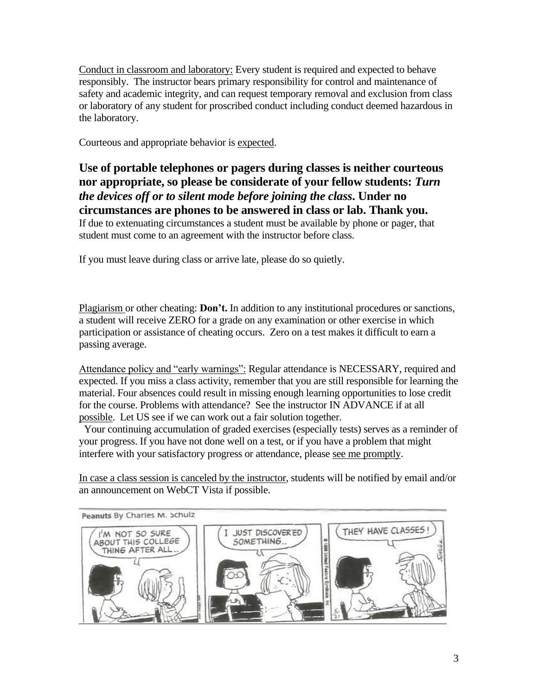Conduct in classroom and laboratory: Every student is required and expected to behave responsibly. The instructor bears primary responsibility for control and maintenance of safety and academic integrity, and can request temporary removal and exclusion from class or laboratory of any student for proscribed conduct including conduct deemed hazardous in the laboratory.

Courteous and appropriate behavior is expected.

**Use of portable telephones or pagers during classes is neither courteous nor appropriate, so please be considerate of your fellow students:** *Turn the devices off or to silent mode before joining the class***. Under no circumstances are phones to be answered in class or lab. Thank you.** If due to extenuating circumstances a student must be available by phone or pager, that student must come to an agreement with the instructor before class.

If you must leave during class or arrive late, please do so quietly.

Plagiarism or other cheating: **Don't.** In addition to any institutional procedures or sanctions, a student will receive ZERO for a grade on any examination or other exercise in which participation or assistance of cheating occurs. Zero on a test makes it difficult to earn a passing average.

Attendance policy and "early warnings": Regular attendance is NECESSARY, required and expected. If you miss a class activity, remember that you are still responsible for learning the material. Four absences could result in missing enough learning opportunities to lose credit for the course. Problems with attendance? See the instructor IN ADVANCE if at all possible. Let US see if we can work out a fair solution together.

 Your continuing accumulation of graded exercises (especially tests) serves as a reminder of your progress. If you have not done well on a test, or if you have a problem that might interfere with your satisfactory progress or attendance, please see me promptly.

In case a class session is canceled by the instructor, students will be notified by email and/or an announcement on WebCT Vista if possible.

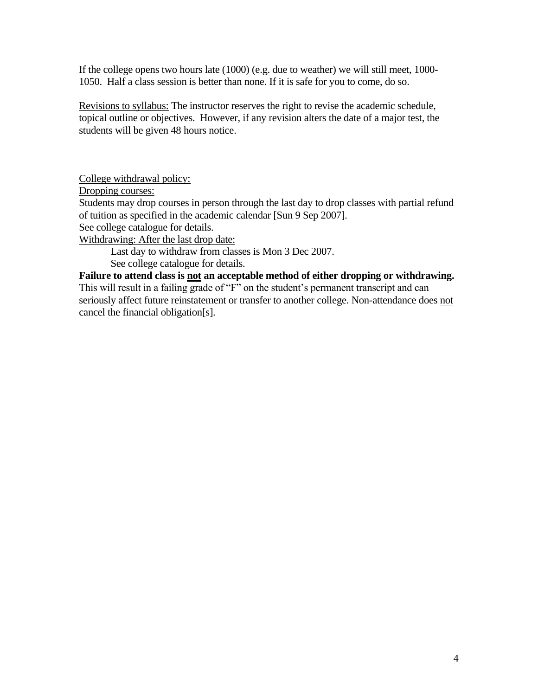If the college opens two hours late (1000) (e.g. due to weather) we will still meet, 1000- 1050. Half a class session is better than none. If it is safe for you to come, do so.

Revisions to syllabus: The instructor reserves the right to revise the academic schedule, topical outline or objectives. However, if any revision alters the date of a major test, the students will be given 48 hours notice.

College withdrawal policy:

Dropping courses:

Students may drop courses in person through the last day to drop classes with partial refund of tuition as specified in the academic calendar [Sun 9 Sep 2007].

See college catalogue for details.

Withdrawing: After the last drop date:

Last day to withdraw from classes is Mon 3 Dec 2007. See college catalogue for details.

**Failure to attend class is not an acceptable method of either dropping or withdrawing.** This will result in a failing grade of "F" on the student's permanent transcript and can seriously affect future reinstatement or transfer to another college. Non-attendance does not cancel the financial obligation[s].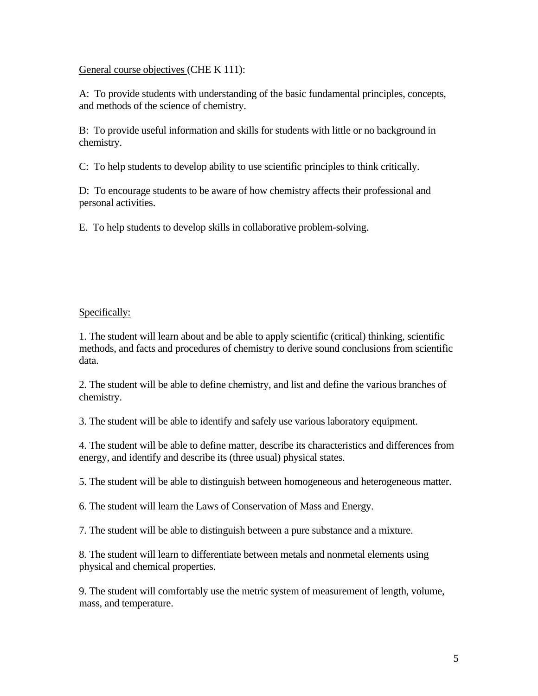## General course objectives (CHE K 111):

A: To provide students with understanding of the basic fundamental principles, concepts, and methods of the science of chemistry.

B: To provide useful information and skills for students with little or no background in chemistry.

C: To help students to develop ability to use scientific principles to think critically.

D: To encourage students to be aware of how chemistry affects their professional and personal activities.

E. To help students to develop skills in collaborative problem-solving.

# Specifically:

1. The student will learn about and be able to apply scientific (critical) thinking, scientific methods, and facts and procedures of chemistry to derive sound conclusions from scientific data.

2. The student will be able to define chemistry, and list and define the various branches of chemistry.

3. The student will be able to identify and safely use various laboratory equipment.

4. The student will be able to define matter, describe its characteristics and differences from energy, and identify and describe its (three usual) physical states.

5. The student will be able to distinguish between homogeneous and heterogeneous matter.

6. The student will learn the Laws of Conservation of Mass and Energy.

7. The student will be able to distinguish between a pure substance and a mixture.

8. The student will learn to differentiate between metals and nonmetal elements using physical and chemical properties.

9. The student will comfortably use the metric system of measurement of length, volume, mass, and temperature.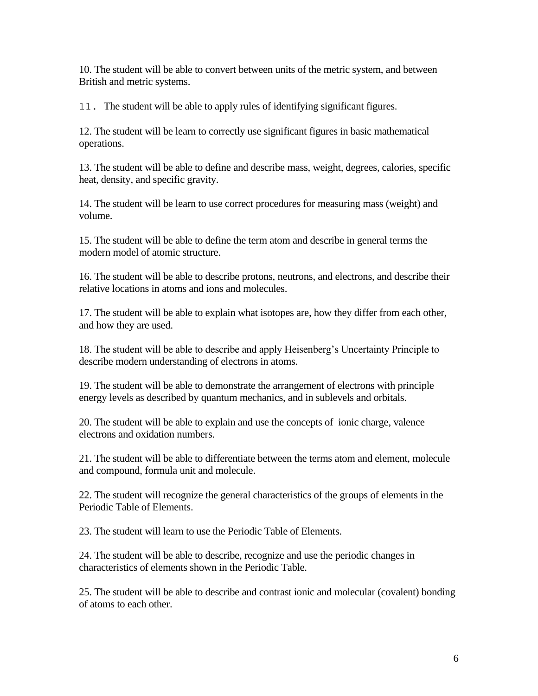10. The student will be able to convert between units of the metric system, and between British and metric systems.

11. The student will be able to apply rules of identifying significant figures.

12. The student will be learn to correctly use significant figures in basic mathematical operations.

13. The student will be able to define and describe mass, weight, degrees, calories, specific heat, density, and specific gravity.

14. The student will be learn to use correct procedures for measuring mass (weight) and volume.

15. The student will be able to define the term atom and describe in general terms the modern model of atomic structure.

16. The student will be able to describe protons, neutrons, and electrons, and describe their relative locations in atoms and ions and molecules.

17. The student will be able to explain what isotopes are, how they differ from each other, and how they are used.

18. The student will be able to describe and apply Heisenberg's Uncertainty Principle to describe modern understanding of electrons in atoms.

19. The student will be able to demonstrate the arrangement of electrons with principle energy levels as described by quantum mechanics, and in sublevels and orbitals.

20. The student will be able to explain and use the concepts of ionic charge, valence electrons and oxidation numbers.

21. The student will be able to differentiate between the terms atom and element, molecule and compound, formula unit and molecule.

22. The student will recognize the general characteristics of the groups of elements in the Periodic Table of Elements.

23. The student will learn to use the Periodic Table of Elements.

24. The student will be able to describe, recognize and use the periodic changes in characteristics of elements shown in the Periodic Table.

25. The student will be able to describe and contrast ionic and molecular (covalent) bonding of atoms to each other.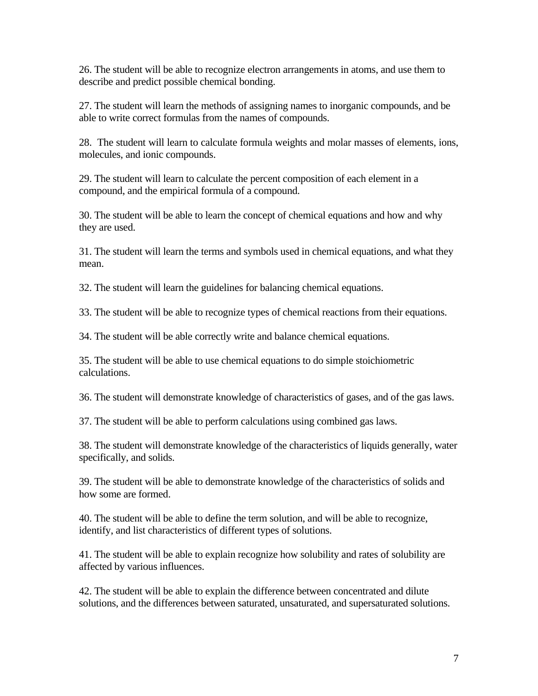26. The student will be able to recognize electron arrangements in atoms, and use them to describe and predict possible chemical bonding.

27. The student will learn the methods of assigning names to inorganic compounds, and be able to write correct formulas from the names of compounds.

28. The student will learn to calculate formula weights and molar masses of elements, ions, molecules, and ionic compounds.

29. The student will learn to calculate the percent composition of each element in a compound, and the empirical formula of a compound.

30. The student will be able to learn the concept of chemical equations and how and why they are used.

31. The student will learn the terms and symbols used in chemical equations, and what they mean.

32. The student will learn the guidelines for balancing chemical equations.

33. The student will be able to recognize types of chemical reactions from their equations.

34. The student will be able correctly write and balance chemical equations.

35. The student will be able to use chemical equations to do simple stoichiometric calculations.

36. The student will demonstrate knowledge of characteristics of gases, and of the gas laws.

37. The student will be able to perform calculations using combined gas laws.

38. The student will demonstrate knowledge of the characteristics of liquids generally, water specifically, and solids.

39. The student will be able to demonstrate knowledge of the characteristics of solids and how some are formed.

40. The student will be able to define the term solution, and will be able to recognize, identify, and list characteristics of different types of solutions.

41. The student will be able to explain recognize how solubility and rates of solubility are affected by various influences.

42. The student will be able to explain the difference between concentrated and dilute solutions, and the differences between saturated, unsaturated, and supersaturated solutions.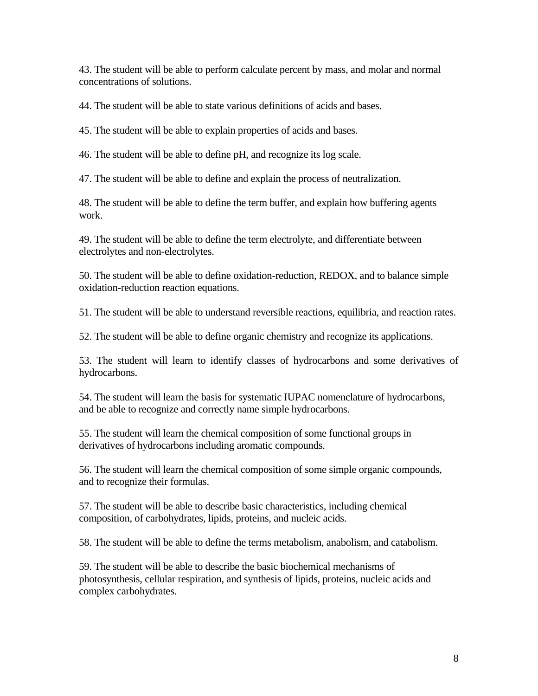43. The student will be able to perform calculate percent by mass, and molar and normal concentrations of solutions.

44. The student will be able to state various definitions of acids and bases.

45. The student will be able to explain properties of acids and bases.

46. The student will be able to define pH, and recognize its log scale.

47. The student will be able to define and explain the process of neutralization.

48. The student will be able to define the term buffer, and explain how buffering agents work.

49. The student will be able to define the term electrolyte, and differentiate between electrolytes and non-electrolytes.

50. The student will be able to define oxidation-reduction, REDOX, and to balance simple oxidation-reduction reaction equations.

51. The student will be able to understand reversible reactions, equilibria, and reaction rates.

52. The student will be able to define organic chemistry and recognize its applications.

53. The student will learn to identify classes of hydrocarbons and some derivatives of hydrocarbons.

54. The student will learn the basis for systematic IUPAC nomenclature of hydrocarbons, and be able to recognize and correctly name simple hydrocarbons.

55. The student will learn the chemical composition of some functional groups in derivatives of hydrocarbons including aromatic compounds.

56. The student will learn the chemical composition of some simple organic compounds, and to recognize their formulas.

57. The student will be able to describe basic characteristics, including chemical composition, of carbohydrates, lipids, proteins, and nucleic acids.

58. The student will be able to define the terms metabolism, anabolism, and catabolism.

59. The student will be able to describe the basic biochemical mechanisms of photosynthesis, cellular respiration, and synthesis of lipids, proteins, nucleic acids and complex carbohydrates.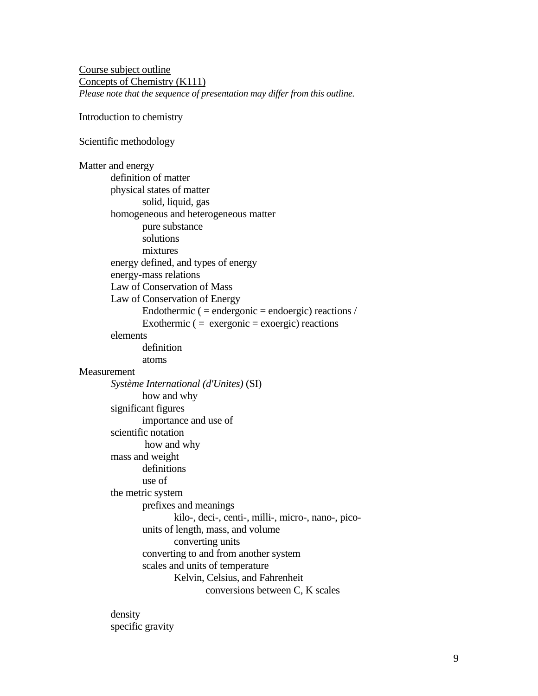Course subject outline Concepts of Chemistry (K111) *Please note that the sequence of presentation may differ from this outline.*

Introduction to chemistry

Scientific methodology

Matter and energy definition of matter physical states of matter solid, liquid, gas homogeneous and heterogeneous matter pure substance solutions mixtures energy defined, and types of energy energy-mass relations Law of Conservation of Mass Law of Conservation of Energy Endothermic ( $=$  endergonic  $=$  endoergic) reactions / Exothermic  $($  = exergonic = exoergic) reactions elements definition atoms **Measurement** *Système International (d'Unites)* (SI) how and why significant figures importance and use of scientific notation how and why mass and weight definitions use of the metric system prefixes and meanings kilo-, deci-, centi-, milli-, micro-, nano-, picounits of length, mass, and volume converting units converting to and from another system scales and units of temperature Kelvin, Celsius, and Fahrenheit conversions between C, K scales

> density specific gravity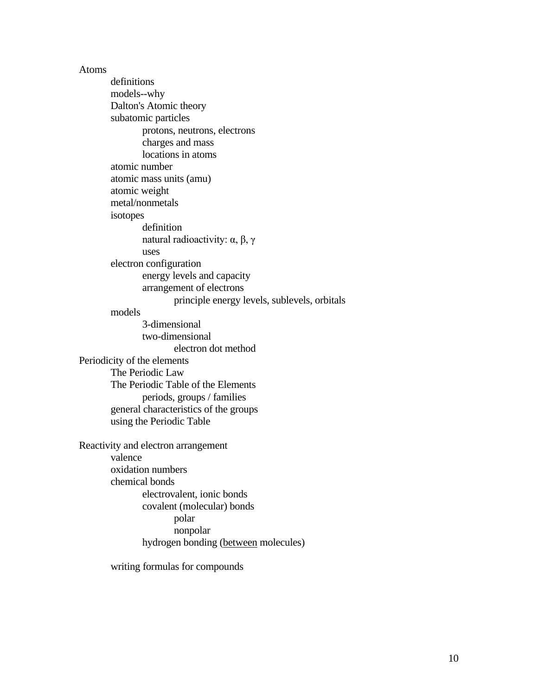Atoms

definitions models--why Dalton's Atomic theory subatomic particles protons, neutrons, electrons charges and mass locations in atoms atomic number atomic mass units (amu) atomic weight metal/nonmetals isotopes definition natural radioactivity: α, β, γ uses electron configuration energy levels and capacity arrangement of electrons principle energy levels, sublevels, orbitals models 3-dimensional two-dimensional electron dot method Periodicity of the elements The Periodic Law The Periodic Table of the Elements periods, groups / families general characteristics of the groups using the Periodic Table Reactivity and electron arrangement valence oxidation numbers chemical bonds electrovalent, ionic bonds covalent (molecular) bonds polar nonpolar hydrogen bonding (between molecules)

writing formulas for compounds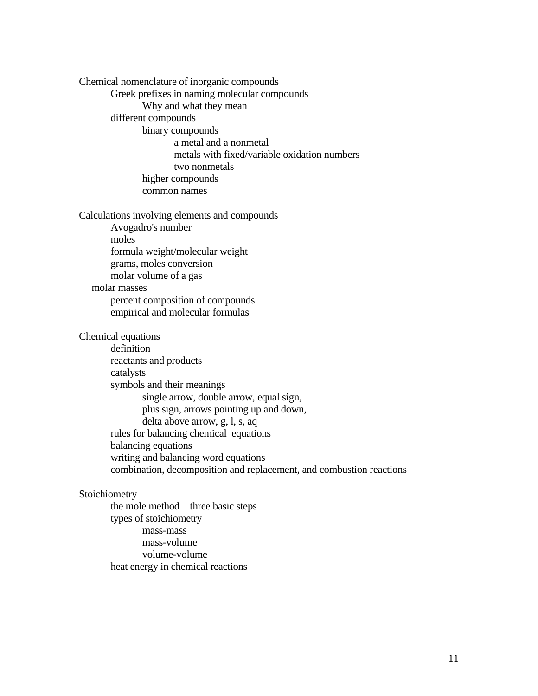Chemical nomenclature of inorganic compounds Greek prefixes in naming molecular compounds Why and what they mean different compounds binary compounds a metal and a nonmetal metals with fixed/variable oxidation numbers two nonmetals higher compounds common names Calculations involving elements and compounds Avogadro's number moles formula weight/molecular weight grams, moles conversion molar volume of a gas molar masses percent composition of compounds empirical and molecular formulas Chemical equations definition reactants and products catalysts symbols and their meanings single arrow, double arrow, equal sign, plus sign, arrows pointing up and down, delta above arrow, g, l, s, aq rules for balancing chemical equations balancing equations writing and balancing word equations combination, decomposition and replacement, and combustion reactions

# Stoichiometry

the mole method—three basic steps types of stoichiometry mass-mass mass-volume volume-volume heat energy in chemical reactions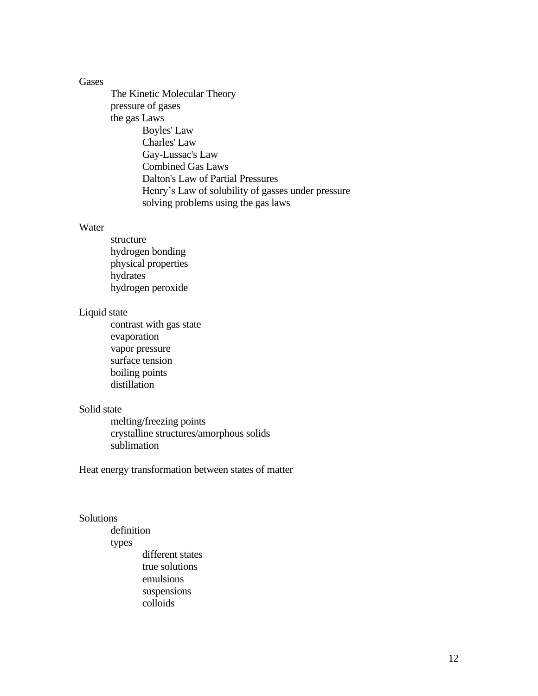#### Gases

The Kinetic Molecular Theory pressure of gases the gas Laws Boyles' Law Charles' Law Gay-Lussac's Law Combined Gas Laws Dalton's Law of Partial Pressures Henry's Law of solubility of gasses under pressure solving problems using the gas laws

### Water

structure hydrogen bonding physical properties hydrates hydrogen peroxide

#### Liquid state

contrast with gas state evaporation vapor pressure surface tension boiling points distillation

### Solid state

melting/freezing points crystalline structures/amorphous solids sublimation

Heat energy transformation between states of matter

#### Solutions

definition types different states true solutions emulsions suspensions colloids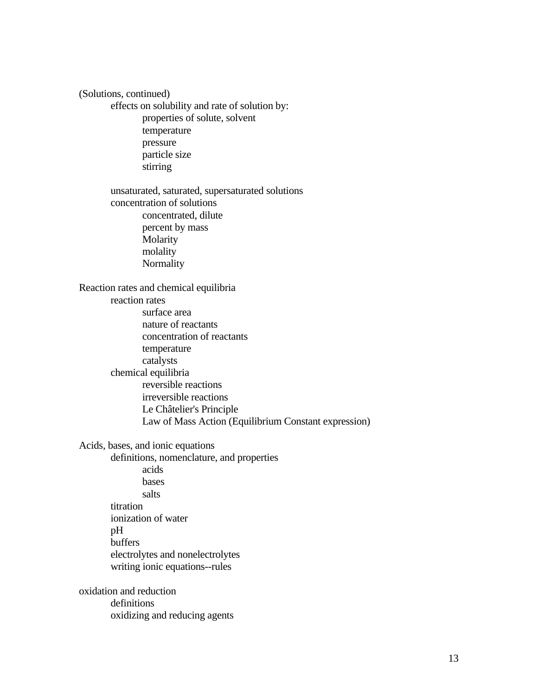(Solutions, continued) effects on solubility and rate of solution by: properties of solute, solvent temperature pressure particle size stirring unsaturated, saturated, supersaturated solutions concentration of solutions concentrated, dilute percent by mass Molarity molality Normality Reaction rates and chemical equilibria reaction rates surface area nature of reactants concentration of reactants temperature catalysts chemical equilibria reversible reactions irreversible reactions Le Châtelier's Principle Law of Mass Action (Equilibrium Constant expression) Acids, bases, and ionic equations definitions, nomenclature, and properties acids bases salts titration ionization of water pH buffers electrolytes and nonelectrolytes writing ionic equations--rules oxidation and reduction definitions oxidizing and reducing agents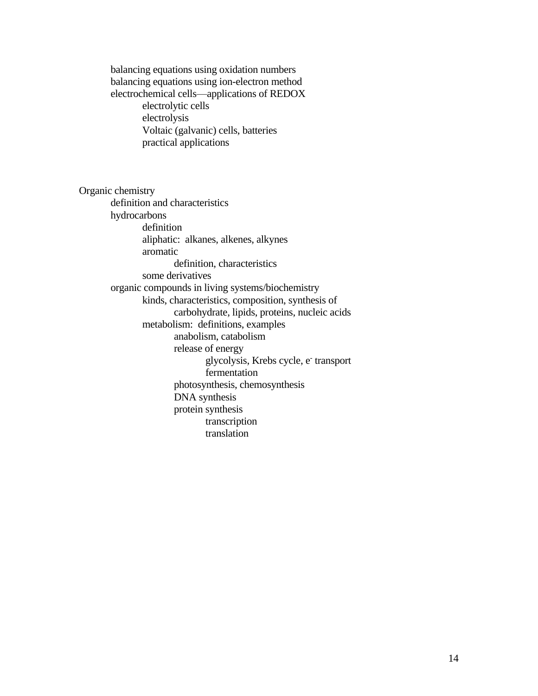electrochemical cells—applications of REDOX electrolytic cells electrolysis Voltaic (galvanic) cells, batteries practical applications Organic chemistry definition and characteristics hydrocarbons definition aliphatic: alkanes, alkenes, alkynes aromatic definition, characteristics some derivatives organic compounds in living systems/biochemistry kinds, characteristics, composition, synthesis of carbohydrate, lipids, proteins, nucleic acids metabolism: definitions, examples anabolism, catabolism release of energy glycolysis, Krebs cycle, e<sup>-</sup> transport fermentation photosynthesis, chemosynthesis DNA synthesis protein synthesis transcription translation

balancing equations using oxidation numbers balancing equations using ion-electron method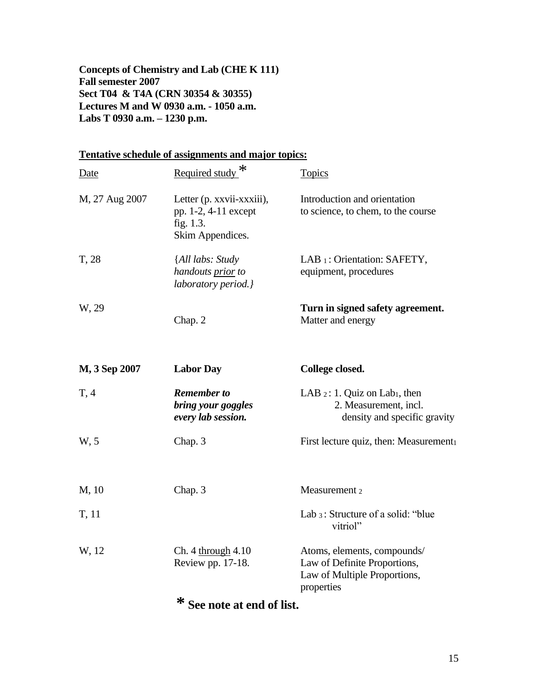**Concepts of Chemistry and Lab (CHE K 111) Fall semester 2007 Sect T04 & T4A (CRN 30354 & 30355) Lectures M and W 0930 a.m. - 1050 a.m. Labs T 0930 a.m. – 1230 p.m.**

# **Tentative schedule of assignments and major topics:**

| Date           | Required study <sup>*</sup>                                                        | <b>Topics</b>                                                                                             |  |  |
|----------------|------------------------------------------------------------------------------------|-----------------------------------------------------------------------------------------------------------|--|--|
| M, 27 Aug 2007 | Letter (p. xxvii-xxxiii),<br>pp. 1-2, 4-11 except<br>fig. 1.3.<br>Skim Appendices. | Introduction and orientation<br>to science, to chem, to the course                                        |  |  |
| T, 28          | {All labs: Study<br>handouts prior to<br>laboratory period.}                       | LAB 1: Orientation: SAFETY,<br>equipment, procedures                                                      |  |  |
| W, 29          | Chap. 2                                                                            | Turn in signed safety agreement.<br>Matter and energy                                                     |  |  |
| M, 3 Sep 2007  | <b>Labor Day</b>                                                                   | College closed.                                                                                           |  |  |
| T, 4           | <b>Remember to</b><br>bring your goggles<br>every lab session.                     | LAB $2: 1$ . Quiz on Lab <sub>1</sub> , then<br>2. Measurement, incl.<br>density and specific gravity     |  |  |
| W, 5           | Chap. 3                                                                            | First lecture quiz, then: Measurement                                                                     |  |  |
| M, 10          | Chap. 3                                                                            | Measurement 2                                                                                             |  |  |
| T, 11          |                                                                                    | Lab 3: Structure of a solid: "blue<br>vitriol"                                                            |  |  |
| W, 12          | Ch. 4 through 4.10<br>Review pp. 17-18.                                            | Atoms, elements, compounds/<br>Law of Definite Proportions,<br>Law of Multiple Proportions,<br>properties |  |  |

**\* See note at end of list.**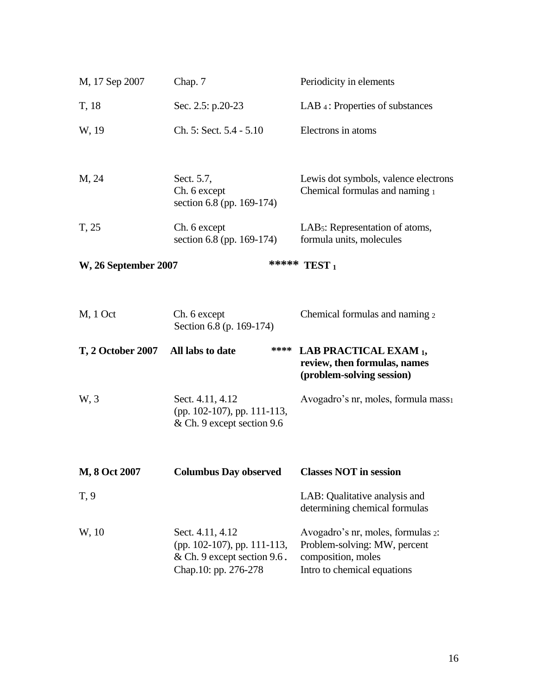| M, 17 Sep 2007               | Chap. 7                                                                                                | Periodicity in elements                                                                                                |  |
|------------------------------|--------------------------------------------------------------------------------------------------------|------------------------------------------------------------------------------------------------------------------------|--|
| T, 18                        | Sec. 2.5: p.20-23                                                                                      | LAB 4: Properties of substances                                                                                        |  |
| W, 19                        | Ch. 5: Sect. 5.4 - 5.10                                                                                | Electrons in atoms                                                                                                     |  |
| M, 24                        | Sect. 5.7,<br>Ch. 6 except<br>section 6.8 (pp. 169-174)                                                | Lewis dot symbols, valence electrons<br>Chemical formulas and naming 1                                                 |  |
| T, 25                        | Ch. 6 except<br>section 6.8 (pp. 169-174)                                                              | LAB <sub>5</sub> : Representation of atoms,<br>formula units, molecules                                                |  |
| <b>W</b> , 26 September 2007 |                                                                                                        | ***** TEST 1                                                                                                           |  |
| $M1 1$ Oct                   | Ch. 6 except<br>Section 6.8 (p. 169-174)                                                               | Chemical formulas and naming 2                                                                                         |  |
| <b>T, 2 October 2007</b>     | ****<br>All labs to date                                                                               | <b>LAB PRACTICAL EXAM 1,</b><br>review, then formulas, names<br>(problem-solving session)                              |  |
| W, 3                         | Sect. 4.11, 4.12<br>(pp. 102-107), pp. 111-113,<br>& Ch. 9 except section 9.6                          | Avogadro's nr, moles, formula mass <sub>1</sub>                                                                        |  |
| M, 8 Oct 2007                | <b>Columbus Day observed</b>                                                                           | <b>Classes NOT in session</b>                                                                                          |  |
| T, 9                         |                                                                                                        | LAB: Qualitative analysis and<br>determining chemical formulas                                                         |  |
| W, 10                        | Sect. 4.11, 4.12<br>(pp. 102-107), pp. 111-113,<br>& Ch. 9 except section 9.6.<br>Chap.10: pp. 276-278 | Avogadro's nr, moles, formulas 2:<br>Problem-solving: MW, percent<br>composition, moles<br>Intro to chemical equations |  |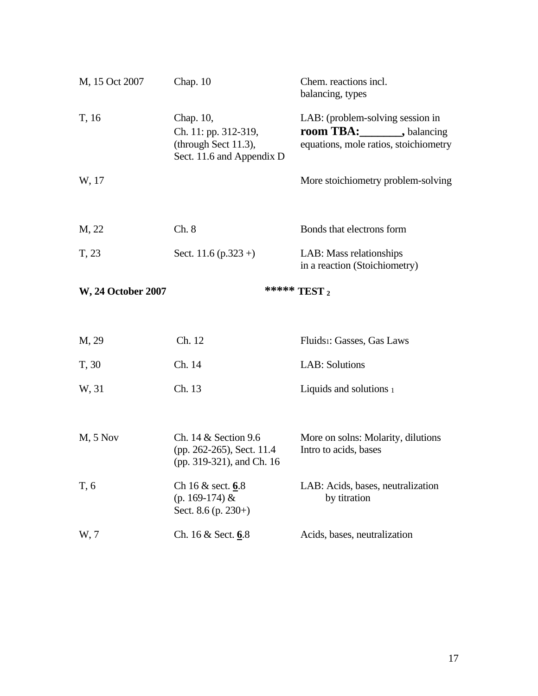| M, 15 Oct 2007            | Chap. $10$                                                                                | Chem. reactions incl.<br>balancing, types                                                                 |  |
|---------------------------|-------------------------------------------------------------------------------------------|-----------------------------------------------------------------------------------------------------------|--|
| T, 16                     | Chap. 10,<br>Ch. 11: pp. 312-319,<br>(through Sect $11.3$ ),<br>Sect. 11.6 and Appendix D | LAB: (problem-solving session in<br><b>room TBA:</b> , balancing<br>equations, mole ratios, stoichiometry |  |
| W, 17                     |                                                                                           | More stoichiometry problem-solving                                                                        |  |
| M, 22                     | Ch. 8                                                                                     | Bonds that electrons form                                                                                 |  |
| T, 23                     | Sect. 11.6 $(p.323 +)$                                                                    | LAB: Mass relationships<br>in a reaction (Stoichiometry)                                                  |  |
| <b>W, 24 October 2007</b> | ***** TEST 2                                                                              |                                                                                                           |  |
| M, 29                     | Ch. 12                                                                                    | Fluids <sub>1</sub> : Gasses, Gas Laws                                                                    |  |
| T, 30                     | Ch. 14                                                                                    | <b>LAB:</b> Solutions                                                                                     |  |
| W, 31                     | Ch. 13                                                                                    | Liquids and solutions 1                                                                                   |  |
| $M2$ , 5 Nov              | Ch. 14 & Section 9.6<br>(pp. 262-265), Sect. 11.4<br>(pp. 319-321), and Ch. 16            | More on solns: Molarity, dilutions<br>Intro to acids, bases                                               |  |
| T, 6                      | Ch 16 & sect. 6.8<br>(p. 169-174) &<br>Sect. 8.6 (p. 230+)                                | LAB: Acids, bases, neutralization<br>by titration                                                         |  |
| W, 7                      | Ch. 16 & Sect. 6.8                                                                        | Acids, bases, neutralization                                                                              |  |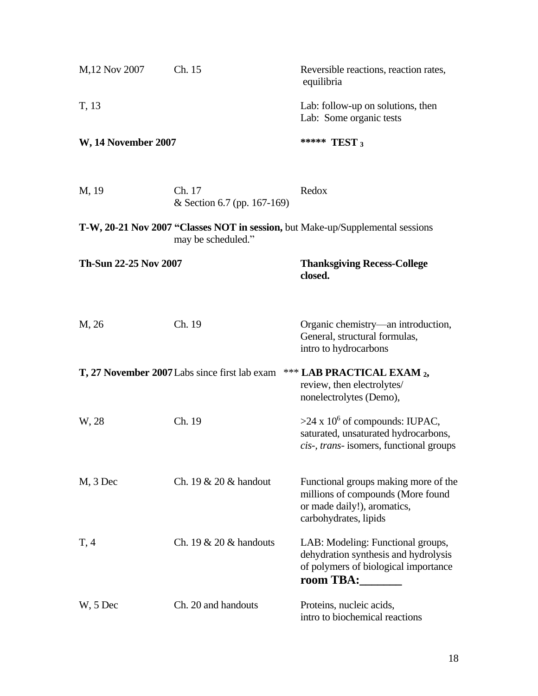| M,12 Nov 2007              | Ch. 15                                        | Reversible reactions, reaction rates,<br>equilibria<br>Lab: follow-up on solutions, then<br>Lab: Some organic tests<br>***** TEST 3 |  |
|----------------------------|-----------------------------------------------|-------------------------------------------------------------------------------------------------------------------------------------|--|
| T, 13                      |                                               |                                                                                                                                     |  |
| <b>W, 14 November 2007</b> |                                               |                                                                                                                                     |  |
| M, 19                      | Ch. 17<br>& Section 6.7 (pp. 167-169)         | Redox                                                                                                                               |  |
|                            | may be scheduled."                            | T-W, 20-21 Nov 2007 "Classes NOT in session, but Make-up/Supplemental sessions                                                      |  |
| Th-Sun 22-25 Nov 2007      |                                               | <b>Thanksgiving Recess-College</b><br>closed.                                                                                       |  |
| M, 26                      | Ch. 19                                        | Organic chemistry—an introduction,<br>General, structural formulas,<br>intro to hydrocarbons                                        |  |
|                            | T, 27 November 2007 Labs since first lab exam | *** LAB PRACTICAL EXAM 2,<br>review, then electrolytes/<br>nonelectrolytes (Demo),                                                  |  |
| W, 28                      | Ch. 19                                        | >24 x $10^6$ of compounds: IUPAC,<br>saturated, unsaturated hydrocarbons,<br>cis-, trans- isomers, functional groups                |  |
| $M$ , 3 Dec                | Ch. $19 \& 20 \&$ handout                     | Functional groups making more of the<br>millions of compounds (More found<br>or made daily!), aromatics,<br>carbohydrates, lipids   |  |
| T, 4                       | Ch. $19 \& 20 \&$ handouts                    | LAB: Modeling: Functional groups,<br>dehydration synthesis and hydrolysis<br>of polymers of biological importance<br>room TBA:      |  |
| W, 5 Dec                   | Ch. 20 and handouts                           | Proteins, nucleic acids,<br>intro to biochemical reactions                                                                          |  |